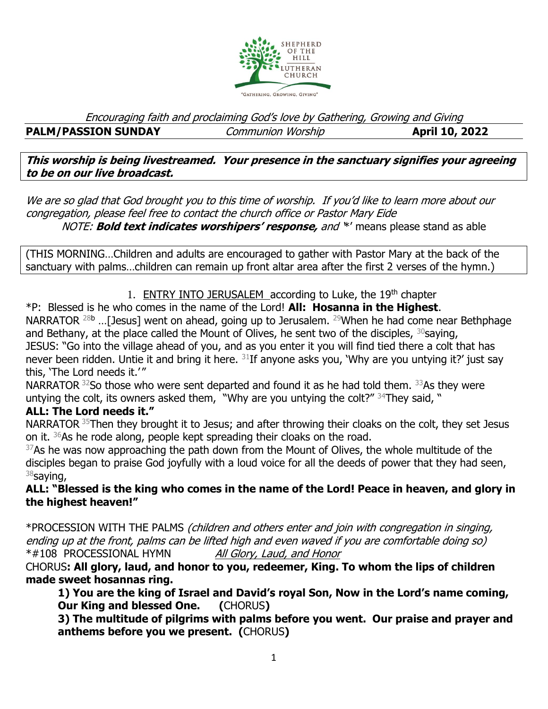

Encouraging faith and proclaiming God's love by Gathering, Growing and Giving **PALM/PASSION SUNDAY** *Communion Worship* **April 10, 2022** 

**This worship is being livestreamed. Your presence in the sanctuary signifies your agreeing to be on our live broadcast.** 

We are so glad that God brought you to this time of worship. If you'd like to learn more about our congregation, please feel free to contact the church office or Pastor Mary Eide NOTE: **Bold text indicates worshipers' response,** and '\*' means please stand as able

(THIS MORNING…Children and adults are encouraged to gather with Pastor Mary at the back of the sanctuary with palms…children can remain up front altar area after the first 2 verses of the hymn.)

1. ENTRY INTO JERUSALEM according to Luke, the 19<sup>th</sup> chapter

\*P: Blessed is he who comes in the name of the Lord! **All: Hosanna in the Highest**. NARRATOR  $^{28b}$  ...[Jesus] went on ahead, going up to Jerusalem. <sup>29</sup>When he had come near Bethphage and Bethany, at the place called the Mount of Olives, he sent two of the disciples,  $30$ saying, JESUS: "Go into the village ahead of you, and as you enter it you will find tied there a colt that has never been ridden. Untie it and bring it here.  $31$ If anyone asks you, 'Why are you untying it?' just say this, 'The Lord needs it.'"

NARRATOR  $32$ So those who were sent departed and found it as he had told them.  $33$ As they were untying the colt, its owners asked them, "Why are you untying the colt?" <sup>34</sup>They said, "

### **ALL: The Lord needs it."**

NARRATOR <sup>35</sup>Then they brought it to Jesus; and after throwing their cloaks on the colt, they set Jesus on it. <sup>36</sup>As he rode along, people kept spreading their cloaks on the road.

 $37$ As he was now approaching the path down from the Mount of Olives, the whole multitude of the disciples began to praise God joyfully with a loud voice for all the deeds of power that they had seen,  $38$ saying,

**ALL: "Blessed is the king who comes in the name of the Lord! Peace in heaven, and glory in the highest heaven!"**

\*PROCESSION WITH THE PALMS (children and others enter and join with congregation in singing, ending up at the front, palms can be lifted high and even waved if you are comfortable doing so) \*#108 PROCESSIONAL HYMN All Glory, Laud, and Honor

CHORUS**: All glory, laud, and honor to you, redeemer, King. To whom the lips of children made sweet hosannas ring.**

**1) You are the king of Israel and David's royal Son, Now in the Lord's name coming, Our King and blessed One. (**CHORUS**)**

**3) The multitude of pilgrims with palms before you went. Our praise and prayer and anthems before you we present. (**CHORUS**)**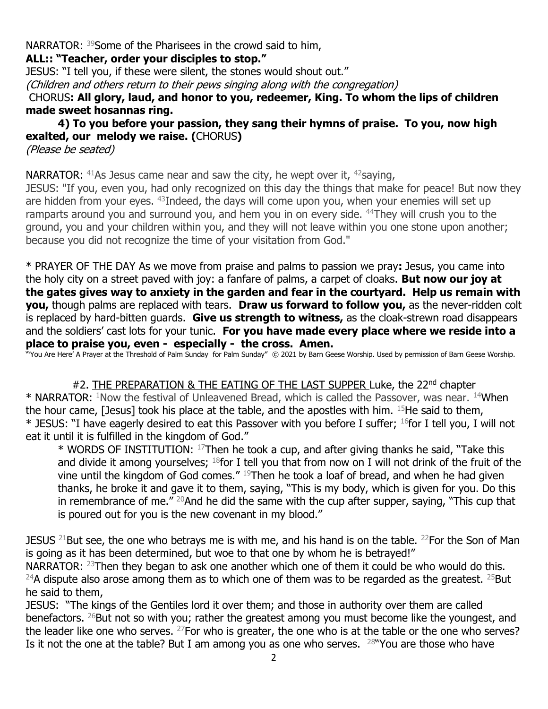NARRATOR: <sup>39</sup>Some of the Pharisees in the crowd said to him, **ALL:: "Teacher, order your disciples to stop."** 

JESUS: "I tell you, if these were silent, the stones would shout out." (Children and others return to their pews singing along with the congregation)

CHORUS**: All glory, laud, and honor to you, redeemer, King. To whom the lips of children made sweet hosannas ring.**

**4) To you before your passion, they sang their hymns of praise. To you, now high exalted, our melody we raise. (**CHORUS**)** (Please be seated)

**NARRATOR:**  $41$ As Jesus came near and saw the city, he wept over it,  $42$ saying,

JESUS: "If you, even you, had only recognized on this day the things that make for peace! But now they are hidden from your eyes. <sup>43</sup>Indeed, the days will come upon you, when your enemies will set up ramparts around you and surround you, and hem you in on every side. <sup>44</sup>They will crush you to the ground, you and your children within you, and they will not leave within you one stone upon another; because you did not recognize the time of your visitation from God."

\* PRAYER OF THE DAY As we move from praise and palms to passion we pray**:** Jesus, you came into the holy city on a street paved with joy: a fanfare of palms, a carpet of cloaks. **But now our joy at the gates gives way to anxiety in the garden and fear in the courtyard. Help us remain with you,** though palms are replaced with tears. **Draw us forward to follow you,** as the never-ridden colt is replaced by hard-bitten guards. **Give us strength to witness,** as the cloak-strewn road disappears and the soldiers' cast lots for your tunic. **For you have made every place where we reside into a place to praise you, even - especially - the cross. Amen.** 

"'You Are Here' A Prayer at the Threshold of Palm Sunday for Palm Sunday" © 2021 by Barn Geese Worship. Used by permission of Barn Geese Worship.

#2. THE PREPARATION & THE EATING OF THE LAST SUPPER Luke, the 22<sup>nd</sup> chapter \* NARRATOR: <sup>1</sup>Now the festival of Unleavened Bread, which is called the Passover, was near. <sup>14</sup>When the hour came, [Jesus] took his place at the table, and the apostles with him.  $15$ He said to them, \* JESUS: "I have eagerly desired to eat this Passover with you before I suffer; <sup>16</sup>for I tell you, I will not eat it until it is fulfilled in the kingdom of God."

 $*$  WORDS OF INSTITUTION:  $17$ Then he took a cup, and after giving thanks he said, "Take this and divide it among yourselves;  $18$  for I tell you that from now on I will not drink of the fruit of the vine until the kingdom of God comes." <sup>19</sup>Then he took a loaf of bread, and when he had given thanks, he broke it and gave it to them, saying, "This is my body, which is given for you. Do this in remembrance of me."  $^{20}$ And he did the same with the cup after supper, saying, "This cup that is poured out for you is the new covenant in my blood."

JESUS  $^{21}$ But see, the one who betrays me is with me, and his hand is on the table.  $^{22}$ For the Son of Man is going as it has been determined, but woe to that one by whom he is betrayed!"

NARRATOR:  $23$ Then they began to ask one another which one of them it could be who would do this. <sup>24</sup>A dispute also arose among them as to which one of them was to be regarded as the greatest. <sup>25</sup>But he said to them,

JESUS: "The kings of the Gentiles lord it over them; and those in authority over them are called benefactors. <sup>26</sup>But not so with you; rather the greatest among you must become like the youngest, and the leader like one who serves.  $27$  For who is greater, the one who is at the table or the one who serves? Is it not the one at the table? But I am among you as one who serves.  $28$ "You are those who have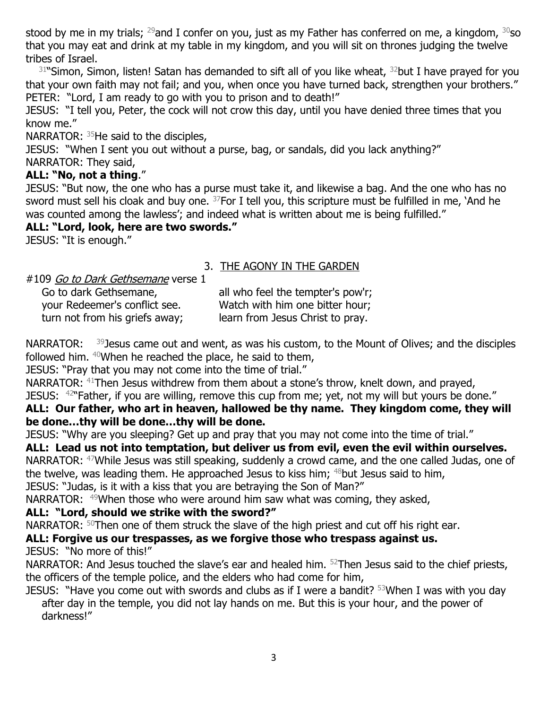stood by me in my trials;  $^{29}$ and I confer on you, just as my Father has conferred on me, a kingdom,  $^{30}$ so that you may eat and drink at my table in my kingdom, and you will sit on thrones judging the twelve tribes of Israel.

 $31$ "Simon, Simon, listen! Satan has demanded to sift all of you like wheat,  $32$ but I have prayed for you that your own faith may not fail; and you, when once you have turned back, strengthen your brothers." PETER: "Lord, I am ready to go with you to prison and to death!"

JESUS: "I tell you, Peter, the cock will not crow this day, until you have denied three times that you know me."

NARRATOR:  $35$ He said to the disciples,

JESUS: "When I sent you out without a purse, bag, or sandals, did you lack anything?" NARRATOR: They said,

#### **ALL: "No, not a thing**."

JESUS: "But now, the one who has a purse must take it, and likewise a bag. And the one who has no sword must sell his cloak and buy one.  $37$  For I tell you, this scripture must be fulfilled in me, `And he was counted among the lawless'; and indeed what is written about me is being fulfilled."

#### **ALL: "Lord, look, here are two swords."**

JESUS: "It is enough."

# 3. THE AGONY IN THE GARDEN

| #109 Go to Dark Gethsemane verse 1 |  |
|------------------------------------|--|
|                                    |  |

| Go to dark Gethsemane,         | all who feel the tempter's pow'r; |
|--------------------------------|-----------------------------------|
| your Redeemer's conflict see.  | Watch with him one bitter hour;   |
| turn not from his griefs away; | learn from Jesus Christ to pray.  |

NARRATOR:  $39$  Jesus came out and went, as was his custom, to the Mount of Olives; and the disciples followed him.  $40$ When he reached the place, he said to them,

JESUS: "Pray that you may not come into the time of trial."

NARRATOR: <sup>41</sup>Then Jesus withdrew from them about a stone's throw, knelt down, and prayed, JESUS:  $42^{\circ}$  Father, if you are willing, remove this cup from me; yet, not my will but yours be done."

# **ALL: Our father, who art in heaven, hallowed be thy name. They kingdom come, they will be done…thy will be done…thy will be done.**

JESUS: "Why are you sleeping? Get up and pray that you may not come into the time of trial."

### **ALL: Lead us not into temptation, but deliver us from evil, even the evil within ourselves.**

NARRATOR: <sup>47</sup>While Jesus was still speaking, suddenly a crowd came, and the one called Judas, one of the twelve, was leading them. He approached Jesus to kiss him;  $48$  but Jesus said to him,

JESUS: "Judas, is it with a kiss that you are betraying the Son of Man?"

NARRATOR: <sup>49</sup>When those who were around him saw what was coming, they asked,

### **ALL: "Lord, should we strike with the sword?"**

NARRATOR:  $50$ Then one of them struck the slave of the high priest and cut off his right ear.

### **ALL: Forgive us our trespasses, as we forgive those who trespass against us.**

JESUS: "No more of this!"

NARRATOR: And Jesus touched the slave's ear and healed him.  $52$ Then Jesus said to the chief priests, the officers of the temple police, and the elders who had come for him,

JESUS: "Have you come out with swords and clubs as if I were a bandit?  $53$ When I was with you day after day in the temple, you did not lay hands on me. But this is your hour, and the power of darkness!"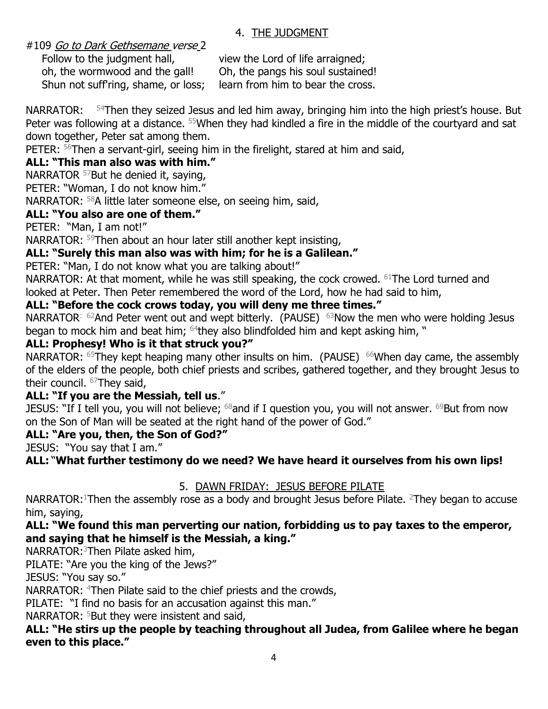#### 4. THE JUDGMENT

#109 Go to Dark Gethsemane verse 2

oh, the wormwood and the gall! Oh, the pangs his soul sustained! Shun not suff'ring, shame, or loss; learn from him to bear the cross.

Follow to the judgment hall, view the Lord of life arraigned;

NARRATOR:  $54$ Then they seized Jesus and led him away, bringing him into the high priest's house. But Peter was following at a distance. <sup>55</sup>When they had kindled a fire in the middle of the courtyard and sat down together, Peter sat among them.

PETER: <sup>56</sup>Then a servant-girl, seeing him in the firelight, stared at him and said,

# **ALL: "This man also was with him."**

NARRATOR <sup>57</sup>But he denied it, saying,

PETER: "Woman, I do not know him."

NARRATOR: <sup>58</sup>A little later someone else, on seeing him, said,

### **ALL: "You also are one of them."**

PETER: "Man, I am not!"

NARRATOR: <sup>59</sup>Then about an hour later still another kept insisting,

# **ALL: "Surely this man also was with him; for he is a Galilean."**

PETER: "Man, I do not know what you are talking about!"

NARRATOR: At that moment, while he was still speaking, the cock crowed. <sup>61</sup>The Lord turned and looked at Peter. Then Peter remembered the word of the Lord, how he had said to him,

# **ALL: "Before the cock crows today, you will deny me three times."**

NARRATOR:  $62$ And Peter went out and wept bitterly. (PAUSE)  $63$ Now the men who were holding Jesus began to mock him and beat him; <sup>64</sup>they also blindfolded him and kept asking him, "

### **ALL: Prophesy! Who is it that struck you?"**

NARRATOR:  $65$ They kept heaping many other insults on him. (PAUSE)  $66$ When day came, the assembly of the elders of the people, both chief priests and scribes, gathered together, and they brought Jesus to their council. <sup>67</sup>They said,

### **ALL: "If you are the Messiah, tell us**."

JESUS: "If I tell you, you will not believe;  $^{68}$ and if I question you, you will not answer.  $^{69}$ But from now on the Son of Man will be seated at the right hand of the power of God."

### **ALL: "Are you, then, the Son of God?"**

JESUS: "You say that I am."

**ALL:** "**What further testimony do we need? We have heard it ourselves from his own lips!**

### 5. DAWN FRIDAY: JESUS BEFORE PILATE

NARRATOR:<sup>1</sup>Then the assembly rose as a body and brought Jesus before Pilate. <sup>2</sup>They began to accuse him, saying,

#### **ALL: "We found this man perverting our nation, forbidding us to pay taxes to the emperor, and saying that he himself is the Messiah, a king."**

NARRATOR:<sup>3</sup>Then Pilate asked him,

PILATE: "Are you the king of the Jews?"

JESUS: "You say so."

NARRATOR: <sup>4</sup>Then Pilate said to the chief priests and the crowds,

PILATE: "I find no basis for an accusation against this man."

NARRATOR:  $5$ But they were insistent and said,

#### **ALL: "He stirs up the people by teaching throughout all Judea, from Galilee where he began even to this place."**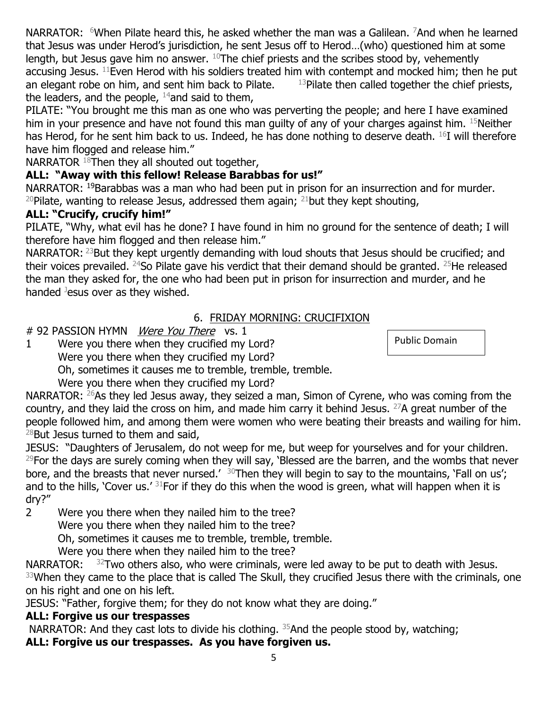NARRATOR:  $6$ When Pilate heard this, he asked whether the man was a Galilean.  $7$ And when he learned that Jesus was under Herod's jurisdiction, he sent Jesus off to Herod…(who) questioned him at some length, but Jesus gave him no answer.  $10$ The chief priests and the scribes stood by, vehemently accusing Jesus.  $^{11}$ Even Herod with his soldiers treated him with contempt and mocked him; then he put an elegant robe on him, and sent him back to Pilate.  $13$ Pilate then called together the chief priests, the leaders, and the people,  $^{14}$ and said to them,

PILATE: "You brought me this man as one who was perverting the people; and here I have examined him in your presence and have not found this man guilty of any of your charges against him. 15Neither has Herod, for he sent him back to us. Indeed, he has done nothing to deserve death.  $^{16}$ I will therefore have him flogged and release him."

NARRATOR <sup>18</sup>Then they all shouted out together,

# **ALL: "Away with this fellow! Release Barabbas for us!"**

NARRATOR: <sup>19</sup>Barabbas was a man who had been put in prison for an insurrection and for murder. <sup>20</sup>Pilate, wanting to release Jesus, addressed them again;  $^{21}$ but they kept shouting,

### **ALL: "Crucify, crucify him!"**

PILATE, "Why, what evil has he done? I have found in him no ground for the sentence of death; I will therefore have him flogged and then release him."

NARRATOR: <sup>23</sup>But they kept urgently demanding with loud shouts that Jesus should be crucified; and their voices prevailed.  $24$ So Pilate gave his verdict that their demand should be granted.  $25$ He released the man they asked for, the one who had been put in prison for insurrection and murder, and he handed  $J$ esus over as they wished.

# 6. FRIDAY MORNING: CRUCIFIXION

### # 92 PASSION HYMN *Were You There* vs. 1

1 Were you there when they crucified my Lord? Were you there when they crucified my Lord?

Oh, sometimes it causes me to tremble, tremble, tremble.

Were you there when they crucified my Lord?

NARRATOR: <sup>26</sup>As they led Jesus away, they seized a man, Simon of Cyrene, who was coming from the country, and they laid the cross on him, and made him carry it behind Jesus.  $^{27}$ A great number of the people followed him, and among them were women who were beating their breasts and wailing for him.  $^{28}$ But Jesus turned to them and said,

JESUS: "Daughters of Jerusalem, do not weep for me, but weep for yourselves and for your children.  $^{29}$ For the days are surely coming when they will say, 'Blessed are the barren, and the wombs that never bore, and the breasts that never nursed.<sup>'30</sup>Then they will begin to say to the mountains, 'Fall on us'; and to the hills, 'Cover us.'  $31$  For if they do this when the wood is green, what will happen when it is dry?"

2 Were you there when they nailed him to the tree?

Were you there when they nailed him to the tree?

Oh, sometimes it causes me to tremble, tremble, tremble.

Were you there when they nailed him to the tree?

NARRATOR:  $32$ Two others also, who were criminals, were led away to be put to death with Jesus. <sup>33</sup>When they came to the place that is called The Skull, they crucified Jesus there with the criminals, one on his right and one on his left.

JESUS: "Father, forgive them; for they do not know what they are doing."

# **ALL: Forgive us our trespasses**

NARRATOR: And they cast lots to divide his clothing.  $35$ And the people stood by, watching; **ALL: Forgive us our trespasses. As you have forgiven us.**

Public Domain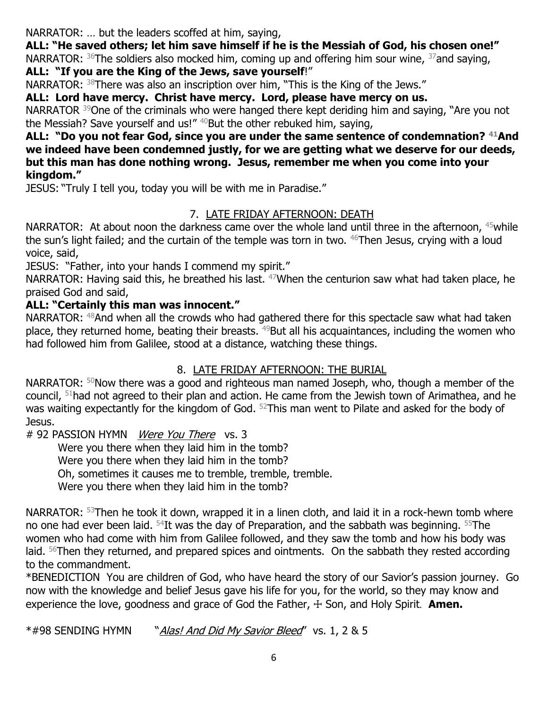NARRATOR: … but the leaders scoffed at him, saying,

**ALL: "He saved others; let him save himself if he is the Messiah of God, his chosen one!"**

NARRATOR:  $36$ The soldiers also mocked him, coming up and offering him sour wine,  $37$  and saying, **ALL: "If you are the King of the Jews, save yourself**!"

NARRATOR: <sup>38</sup>There was also an inscription over him, "This is the King of the Jews."

**ALL: Lord have mercy. Christ have mercy. Lord, please have mercy on us.**

NARRATOR <sup>39</sup>One of the criminals who were hanged there kept deriding him and saying, "Are you not the Messiah? Save yourself and us!"  $40$ But the other rebuked him, saying,

#### **ALL: "Do you not fear God, since you are under the same sentence of condemnation? <sup>41</sup>And we indeed have been condemned justly, for we are getting what we deserve for our deeds, but this man has done nothing wrong. Jesus, remember me when you come into your kingdom."**

JESUS: "Truly I tell you, today you will be with me in Paradise."

# 7. LATE FRIDAY AFTERNOON: DEATH

NARRATOR: At about noon the darkness came over the whole land until three in the afternoon, <sup>45</sup>while the sun's light failed; and the curtain of the temple was torn in two. <sup>46</sup>Then Jesus, crying with a loud voice, said,

JESUS: "Father, into your hands I commend my spirit."

NARRATOR: Having said this, he breathed his last. <sup>47</sup>When the centurion saw what had taken place, he praised God and said,

# **ALL: "Certainly this man was innocent."**

NARRATOR:  $48$ And when all the crowds who had gathered there for this spectacle saw what had taken place, they returned home, beating their breasts.  $49$ But all his acquaintances, including the women who had followed him from Galilee, stood at a distance, watching these things.

# 8. LATE FRIDAY AFTERNOON: THE BURIAL

NARRATOR:  $50$ Now there was a good and righteous man named Joseph, who, though a member of the council, <sup>51</sup>had not agreed to their plan and action. He came from the Jewish town of Arimathea, and he was waiting expectantly for the kingdom of God. <sup>52</sup>This man went to Pilate and asked for the body of Jesus.

# 92 PASSION HYMN Were You There vs. 3

Were you there when they laid him in the tomb? Were you there when they laid him in the tomb? Oh, sometimes it causes me to tremble, tremble, tremble. Were you there when they laid him in the tomb?

NARRATOR: <sup>53</sup>Then he took it down, wrapped it in a linen cloth, and laid it in a rock-hewn tomb where no one had ever been laid.  $54$ It was the day of Preparation, and the sabbath was beginning.  $55$ The women who had come with him from Galilee followed, and they saw the tomb and how his body was laid. <sup>56</sup>Then they returned, and prepared spices and ointments. On the sabbath they rested according to the commandment.

\*BENEDICTION You are children of God, who have heard the story of our Savior's passion journey. Go now with the knowledge and belief Jesus gave his life for you, for the world, so they may know and experience the love, goodness and grace of God the Father,  $\pm$  Son, and Holy Spirit. **Amen.** 

\*#98 SENDING HYMN "Alas! And Did My Savior Bleed" vs. 1, 2 & 5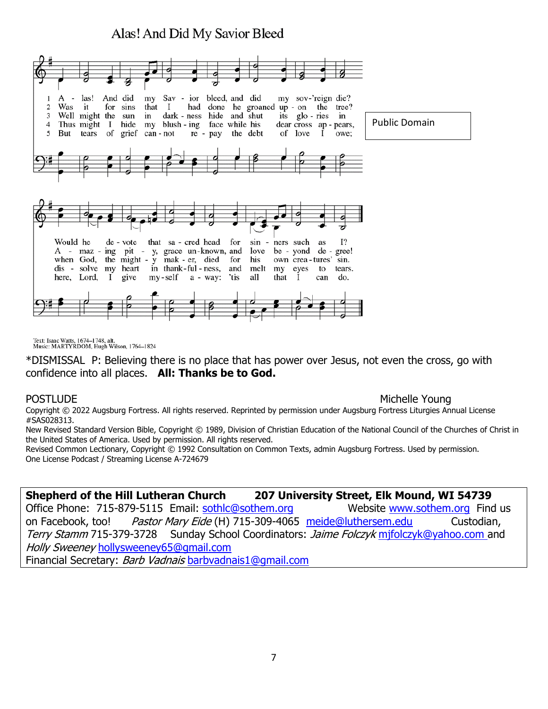# Alas! And Did My Savior Bleed



Text: Isaac Watts, 1674-1748, alt.<br>Music: MARTYRDOM, Hugh Wilson, 1764-1824

\*DISMISSAL P: Believing there is no place that has power over Jesus, not even the cross, go with confidence into all places. **All: Thanks be to God.**

#### POSTLUDE **Michelle Young**

Copyright © 2022 Augsburg Fortress. All rights reserved. Reprinted by permission under Augsburg Fortress Liturgies Annual License #SAS028313.

New Revised Standard Version Bible, Copyright © 1989, Division of Christian Education of the National Council of the Churches of Christ in the United States of America. Used by permission. All rights reserved.

Revised Common Lectionary, Copyright © 1992 Consultation on Common Texts, admin Augsburg Fortress. Used by permission. One License Podcast / Streaming License A-724679

#### **Shepherd of the Hill Lutheran Church 207 University Street, Elk Mound, WI 54739**

Office Phone: 715-879-5115 Email: [sothlc@sothem.org](mailto:sothlc@sothem.org) Website [www.sothem.org](http://www.sothem.org/) Find us on Facebook, too! Pastor Mary Eide (H) 715-309-4065 [meide@luthersem.edu](mailto:meide@luthersem.edu) Custodian, Terry Stamm 715-379-3728 Sunday School Coordinators: Jaime Folczyk mifolczyk@yahoo.com and Holly Sweeney [hollysweeney65@gmail.com](mailto:hollysweeney65@gmail.com)  Financial Secretary: Barb Vadnais [barbvadnais1@gmail.com](mailto:barbvadnais1@gmail.com)